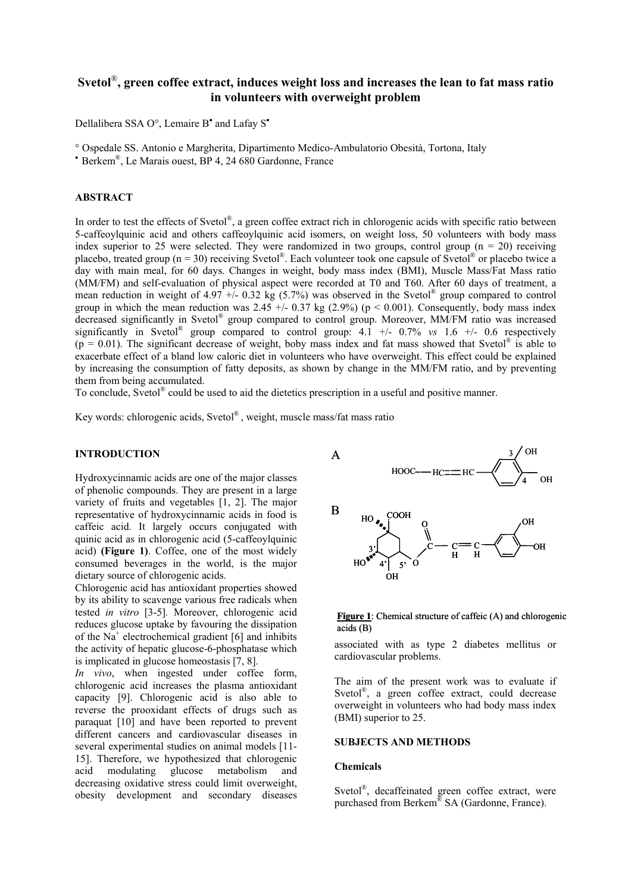# **Svetol**®**, green coffee extract, induces weight loss and increases the lean to fat mass ratio in volunteers with overweight problem**

Dellalibera SSA O°, Lemaire B<sup>•</sup> and Lafay S<sup>•</sup>

° Ospedale SS. Antonio e Margherita, Dipartimento Medico-Ambulatorio Obesità, Tortona, Italy

• Berkem®, Le Marais ouest, BP 4, 24 680 Gardonne, France

### **ABSTRACT**

In order to test the effects of Svetol®, a green coffee extract rich in chlorogenic acids with specific ratio between 5-caffeoylquinic acid and others caffeoylquinic acid isomers, on weight loss, 50 volunteers with body mass index superior to 25 were selected. They were randomized in two groups, control group  $(n = 20)$  receiving placebo, treated group (n = 30) receiving Svetol<sup>®</sup>. Each volunteer took one capsule of Svetol<sup>®</sup> or placebo twice a day with main meal, for 60 days. Changes in weight, body mass index (BMI), Muscle Mass/Fat Mass ratio (MM/FM) and self-evaluation of physical aspect were recorded at T0 and T60. After 60 days of treatment, a mean reduction in weight of 4.97 +/- 0.32 kg (5.7%) was observed in the Svetol<sup>®</sup> group compared to control group in which the mean reduction was  $2.45 + (-0.37 \text{ kg} (2.9\%) (p < 0.001)$ . Consequently, body mass index decreased significantly in Svetol® group compared to control group. Moreover, MM/FM ratio was increased significantly in Svetol<sup>®</sup> group compared to control group:  $4.1 +/- 0.7\%$  *vs*  $1.6 +/- 0.6$  respectively  $(p = 0.01)$ . The significant decrease of weight, boby mass index and fat mass showed that Svetol<sup>®</sup> is able to exacerbate effect of a bland low caloric diet in volunteers who have overweight. This effect could be explained by increasing the consumption of fatty deposits, as shown by change in the MM/FM ratio, and by preventing them from being accumulated.

To conclude, Svetol® could be used to aid the dietetics prescription in a useful and positive manner.

Key words: chlorogenic acids, Svetol® , weight, muscle mass/fat mass ratio

#### **INTRODUCTION**

Hydroxycinnamic acids are one of the major classes of phenolic compounds. They are present in a large variety of fruits and vegetables [1, 2]. The major representative of hydroxycinnamic acids in food is caffeic acid. It largely occurs conjugated with quinic acid as in chlorogenic acid (5-caffeoylquinic acid) **(Figure 1)**. Coffee, one of the most widely consumed beverages in the world, is the major dietary source of chlorogenic acids.

Chlorogenic acid has antioxidant properties showed by its ability to scavenge various free radicals when tested *in vitro* [3-5]*.* Moreover, chlorogenic acid reduces glucose uptake by favouring the dissipation of the  $Na<sup>+</sup>$  electrochemical gradient [6] and inhibits the activity of hepatic glucose-6-phosphatase which is implicated in glucose homeostasis [7, 8].

*In vivo*, when ingested under coffee form, chlorogenic acid increases the plasma antioxidant capacity [9]. Chlorogenic acid is also able to reverse the prooxidant effects of drugs such as paraquat [10] and have been reported to prevent different cancers and cardiovascular diseases in several experimental studies on animal models [11- 15]. Therefore, we hypothesized that chlorogenic acid modulating glucose metabolism and decreasing oxidative stress could limit overweight, obesity development and secondary diseases



#### **Figure 1**: Chemical structure of caffeic (A) and chlorogenic acids (B)

associated with as type 2 diabetes mellitus or cardiovascular problems.

The aim of the present work was to evaluate if Svetol®, a green coffee extract, could decrease overweight in volunteers who had body mass index (BMI) superior to 25.

#### **SUBJECTS AND METHODS**

#### **Chemicals**

Svetol<sup>®</sup>, decaffeinated green coffee extract, were purchased from Berkem® SA (Gardonne, France).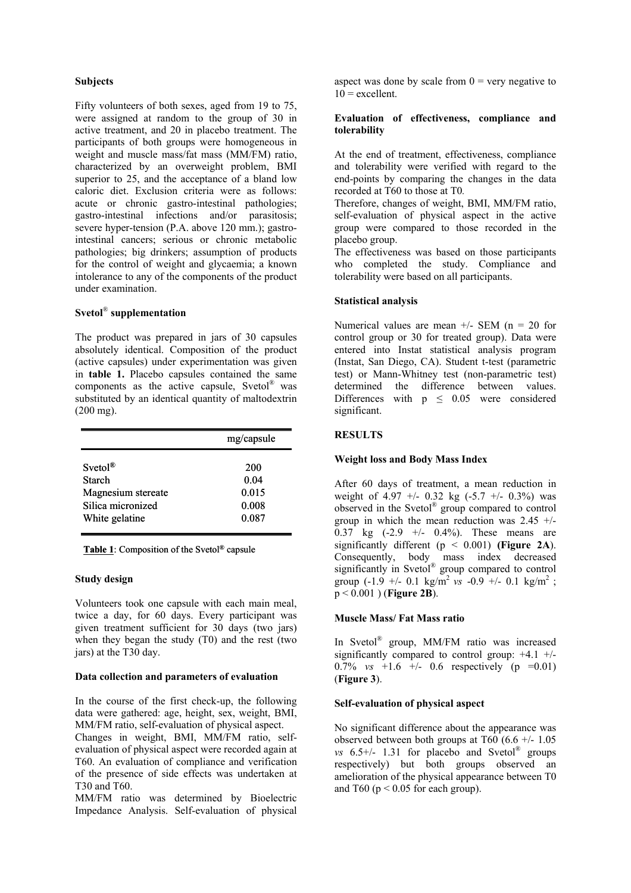### **Subjects**

Fifty volunteers of both sexes, aged from 19 to 75, were assigned at random to the group of 30 in active treatment, and 20 in placebo treatment. The participants of both groups were homogeneous in weight and muscle mass/fat mass (MM/FM) ratio, characterized by an overweight problem, BMI superior to 25, and the acceptance of a bland low caloric diet. Exclusion criteria were as follows: acute or chronic gastro-intestinal pathologies; gastro-intestinal infections and/or parasitosis; severe hyper-tension (P.A. above 120 mm.); gastrointestinal cancers; serious or chronic metabolic pathologies; big drinkers; assumption of products for the control of weight and glycaemia; a known intolerance to any of the components of the product under examination.

## **Svetol**® **supplementation**

The product was prepared in jars of 30 capsules absolutely identical. Composition of the product (active capsules) under experimentation was given in **table 1.** Placebo capsules contained the same components as the active capsule, Svetol® was substituted by an identical quantity of maltodextrin (200 mg).

|                                         | mg/capsule     |
|-----------------------------------------|----------------|
| Svetol <sup>®</sup>                     | 200            |
| <b>Starch</b>                           | 0.04           |
| Magnesium stereate<br>Silica micronized | 0.015<br>0.008 |
| White gelatine                          | 0.087          |

**Table 1**: Composition of the Svetol® capsule

### **Study design**

Volunteers took one capsule with each main meal, twice a day, for 60 days. Every participant was given treatment sufficient for 30 days (two jars) when they began the study (T0) and the rest (two jars) at the T30 day.

### **Data collection and parameters of evaluation**

In the course of the first check-up, the following data were gathered: age, height, sex, weight, BMI, MM/FM ratio, self-evaluation of physical aspect.

Changes in weight, BMI, MM/FM ratio, selfevaluation of physical aspect were recorded again at T60. An evaluation of compliance and verification of the presence of side effects was undertaken at T30 and T60.

MM/FM ratio was determined by Bioelectric Impedance Analysis. Self-evaluation of physical aspect was done by scale from  $0 = \text{very negative to}$  $10 =$  excellent.

### **Evaluation of effectiveness, compliance and tolerability**

At the end of treatment, effectiveness, compliance and tolerability were verified with regard to the end-points by comparing the changes in the data recorded at T60 to those at T0*.*

Therefore, changes of weight, BMI, MM/FM ratio, self-evaluation of physical aspect in the active group were compared to those recorded in the placebo group.

The effectiveness was based on those participants who completed the study. Compliance and tolerability were based on all participants.

## **Statistical analysis**

Numerical values are mean  $+/-$  SEM (n = 20 for control group or 30 for treated group). Data were entered into Instat statistical analysis program (Instat, San Diego, CA). Student t-test (parametric test) or Mann-Whitney test (non-parametric test) determined the difference between values. Differences with  $p \leq 0.05$  were considered significant.

## **RESULTS**

### **Weight loss and Body Mass Index**

After 60 days of treatment, a mean reduction in weight of  $4.97 + (-0.32 \text{ kg } (-5.7 + (-0.3\%))$  was observed in the Svetol® group compared to control group in which the mean reduction was 2.45 +/- 0.37 kg  $(-2.9 + -0.4\%)$ . These means are significantly different  $(p < 0.001)$  (Figure 2A). Consequently, body mass index decreased significantly in Svetol® group compared to control group  $(-1.9 + -0.1 \text{ kg/m}^2 \text{ vs } -0.9 + -0.1 \text{ kg/m}^2$ ; p < 0.001 ) (**Figure 2B**).

### **Muscle Mass/ Fat Mass ratio**

In Svetol® group, MM/FM ratio was increased significantly compared to control group:  $+4.1$  +/- $0.7\%$  *vs* +1.6 +/- 0.6 respectively (p =0.01) (**Figure 3**).

## **Self-evaluation of physical aspect**

No significant difference about the appearance was observed between both groups at  $T60$  (6.6 +/- 1.05 *vs*  $6.5$ <sup>+/-</sup> 1.31 for placebo and Svetol<sup>®</sup> groups respectively) but both groups observed an amelioration of the physical appearance between T0 and T60 ( $p \le 0.05$  for each group).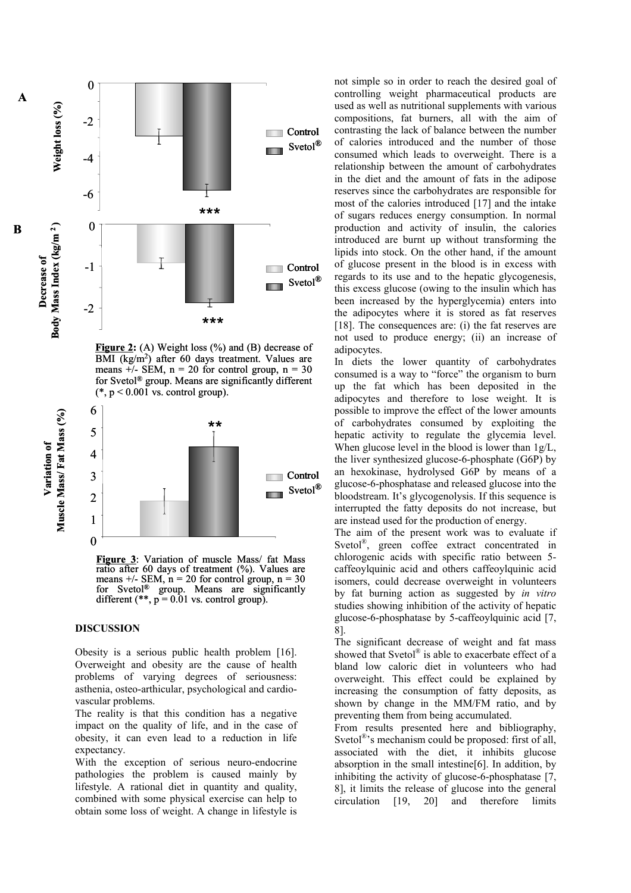

Figure 2: (A) Weight loss (%) and (B) decrease of  $\overline{BMI}$  (kg/m<sup>2</sup>) after 60 days treatment. Values are means  $\frac{1}{r}$  - SEM, n = 20 for control group, n = 30 for Svetol® group. Means are significantly different  $(*, p < 0.001$  vs. control group).



**Figure 3**: Variation of muscle Mass/ fat Mass ratio after 60 days of treatment (%). Values are means  $+/-$  SEM, n = 20 for control group, n = 30 for Svetol<sup>®</sup> group. Means are significantly different  $(**, p = 0.01$  vs. control group).

#### **DISCUSSION**

**Variation of**

Variation of

**B**

**A**

Obesity is a serious public health problem [16]. Overweight and obesity are the cause of health problems of varying degrees of seriousness: asthenia, osteo-arthicular, psychological and cardiovascular problems.

The reality is that this condition has a negative impact on the quality of life, and in the case of obesity, it can even lead to a reduction in life expectancy.

With the exception of serious neuro-endocrine pathologies the problem is caused mainly by lifestyle. A rational diet in quantity and quality, combined with some physical exercise can help to obtain some loss of weight. A change in lifestyle is

not simple so in order to reach the desired goal of controlling weight pharmaceutical products are used as well as nutritional supplements with various compositions, fat burners, all with the aim of contrasting the lack of balance between the number of calories introduced and the number of those consumed which leads to overweight. There is a relationship between the amount of carbohydrates in the diet and the amount of fats in the adipose reserves since the carbohydrates are responsible for most of the calories introduced [17] and the intake of sugars reduces energy consumption. In normal production and activity of insulin, the calories introduced are burnt up without transforming the lipids into stock. On the other hand, if the amount of glucose present in the blood is in excess with regards to its use and to the hepatic glycogenesis, this excess glucose (owing to the insulin which has been increased by the hyperglycemia) enters into the adipocytes where it is stored as fat reserves [18]. The consequences are: (i) the fat reserves are not used to produce energy; (ii) an increase of adipocytes.

In diets the lower quantity of carbohydrates consumed is a way to "force" the organism to burn up the fat which has been deposited in the adipocytes and therefore to lose weight. It is possible to improve the effect of the lower amounts of carbohydrates consumed by exploiting the hepatic activity to regulate the glycemia level. When glucose level in the blood is lower than 1g/L, the liver synthesized glucose-6-phosphate (G6P) by an hexokinase, hydrolysed G6P by means of a glucose-6-phosphatase and released glucose into the bloodstream. It's glycogenolysis. If this sequence is interrupted the fatty deposits do not increase, but are instead used for the production of energy.

The aim of the present work was to evaluate if Svetol<sup>®</sup>, green coffee extract concentrated in chlorogenic acids with specific ratio between 5 caffeoylquinic acid and others caffeoylquinic acid isomers, could decrease overweight in volunteers by fat burning action as suggested by *in vitro* studies showing inhibition of the activity of hepatic glucose-6-phosphatase by 5-caffeoylquinic acid [7, 8].

The significant decrease of weight and fat mass showed that Svetol $^{\circledR}$  is able to exacerbate effect of a bland low caloric diet in volunteers who had overweight. This effect could be explained by increasing the consumption of fatty deposits, as shown by change in the MM/FM ratio, and by preventing them from being accumulated.

From results presented here and bibliography, Svetol<sup>®</sup>'s mechanism could be proposed: first of all, associated with the diet, it inhibits glucose absorption in the small intestine[6]. In addition, by inhibiting the activity of glucose-6-phosphatase [7, 8], it limits the release of glucose into the general circulation [19, 20] and therefore limits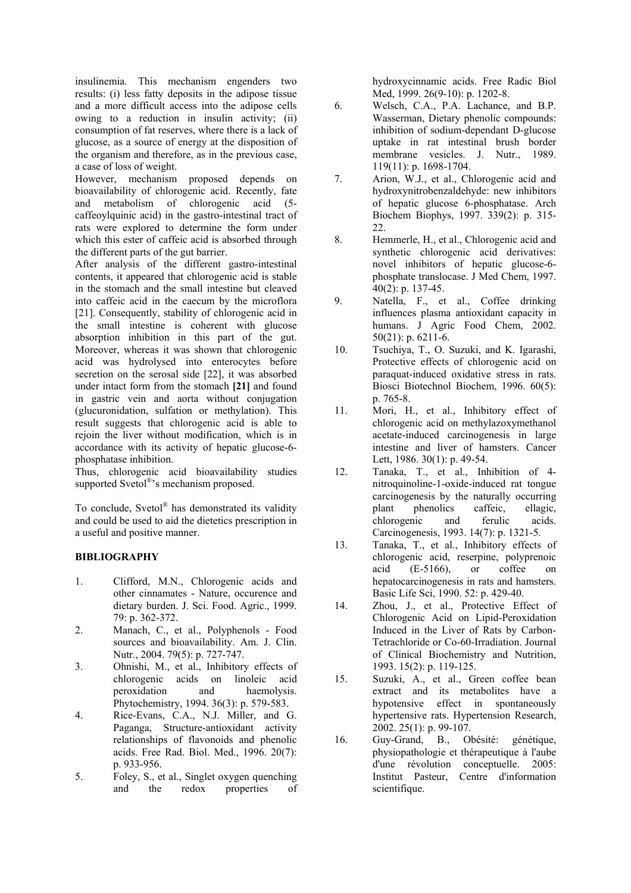insulinemia. This mechanism engenders two results: (i) less fatty deposits in the adipose tissue and a more difficult access into the adipose cells owing to a reduction in insulin activity; (ii) consumption of fat reserves, where there is a lack of glucose, as a source of energy at the disposition of the organism and therefore, as in the previous case, a case of loss of weight.

However, mechanism proposed depends on bioavailability of chlorogenic acid. Recently, fate and metabolism of chlorogenic acid (5 caffeoylquinic acid) in the gastro-intestinal tract of rats were explored to determine the form under which this ester of caffeic acid is absorbed through the different parts of the gut barrier.

After analysis of the different gastro-intestinal contents, it appeared that chlorogenic acid is stable in the stomach and the small intestine but cleaved into caffeic acid in the caecum by the microflora [21]. Consequently, stability of chlorogenic acid in the small intestine is coherent with glucose absorption inhibition in this part of the gut. Moreover, whereas it was shown that chlorogenic acid was hydrolysed into enterocytes before secretion on the serosal side [22], it was absorbed under intact form from the stomach **[21]** and found in gastric vein and aorta without conjugation (glucuronidation, sulfation or methylation). This result suggests that chlorogenic acid is able to rejoin the liver without modification, which is in accordance with its activity of hepatic glucose-6 phosphatase inhibition.

Thus, chlorogenic acid bioavailability studies supported Svetol<sup>®</sup>'s mechanism proposed.

To conclude, Svetol® has demonstrated its validity and could be used to aid the dietetics prescription in a useful and positive manner.

## **BIBLIOGRAPHY**

- 1. Clifford, M.N., Chlorogenic acids and other cinnamates - Nature, occurence and dietary burden. J. Sci. Food. Agric., 1999. 79: p. 362-372.
- 2. Manach, C., et al., Polyphenols Food sources and bioavailability. Am. J. Clin. Nutr., 2004. 79(5): p. 727-747.
- 3. Ohnishi, M., et al., Inhibitory effects of chlorogenic acids on linoleic acid peroxidation and haemolysis. Phytochemistry, 1994. 36(3): p. 579-583.
- 4. Rice-Evans, C.A., N.J. Miller, and G. Paganga, Structure-antioxidant activity relationships of flavonoids and phenolic acids. Free Rad. Biol. Med., 1996. 20(7): p. 933-956.
- 5. Foley, S., et al., Singlet oxygen quenching and the redox properties of

hydroxycinnamic acids. Free Radic Biol Med, 1999. 26(9-10): p. 1202-8.

- 6. Welsch, C.A., P.A. Lachance, and B.P. Wasserman, Dietary phenolic compounds: inhibition of sodium-dependant D-glucose uptake in rat intestinal brush border membrane vesicles. J. Nutr., 1989. 119(11): p. 1698-1704.
- 7. Arion, W.J., et al., Chlorogenic acid and hydroxynitrobenzaldehyde: new inhibitors of hepatic glucose 6-phosphatase. Arch Biochem Biophys, 1997. 339(2): p. 315- 22.
- 8. Hemmerle, H., et al., Chlorogenic acid and synthetic chlorogenic acid derivatives: novel inhibitors of hepatic glucose-6 phosphate translocase. J Med Chem, 1997. 40(2): p. 137-45.
- 9. Natella, F., et al., Coffee drinking influences plasma antioxidant capacity in humans. J Agric Food Chem, 2002. 50(21): p. 6211-6.
- 10. Tsuchiya, T., O. Suzuki, and K. Igarashi, Protective effects of chlorogenic acid on paraquat-induced oxidative stress in rats. Biosci Biotechnol Biochem, 1996. 60(5): p. 765-8.
- 11. Mori, H., et al., Inhibitory effect of chlorogenic acid on methylazoxymethanol acetate-induced carcinogenesis in large intestine and liver of hamsters. Cancer Lett, 1986. 30(1): p. 49-54.
- 12. Tanaka, T., et al., Inhibition of 4 nitroquinoline-1-oxide-induced rat tongue carcinogenesis by the naturally occurring plant phenolics caffeic, ellagic, chlorogenic and ferulic acids. Carcinogenesis, 1993. 14(7): p. 1321-5.
- 13. Tanaka, T., et al., Inhibitory effects of chlorogenic acid, reserpine, polyprenoic acid (E-5166), or coffee on hepatocarcinogenesis in rats and hamsters. Basic Life Sci, 1990. 52: p. 429-40.
- 14. Zhou, J., et al., Protective Effect of Chlorogenic Acid on Lipid-Peroxidation Induced in the Liver of Rats by Carbon-Tetrachloride or Co-60-Irradiation. Journal of Clinical Biochemistry and Nutrition, 1993. 15(2): p. 119-125.
- 15. Suzuki, A., et al., Green coffee bean extract and its metabolites have a hypotensive effect in spontaneously hypertensive rats. Hypertension Research, 2002. 25(1): p. 99-107.
- 16. Guy-Grand, B., Obésité: génétique, physiopathologie et thérapeutique à l'aube d'une révolution conceptuelle. 2005: Institut Pasteur, Centre d'information scientifique.